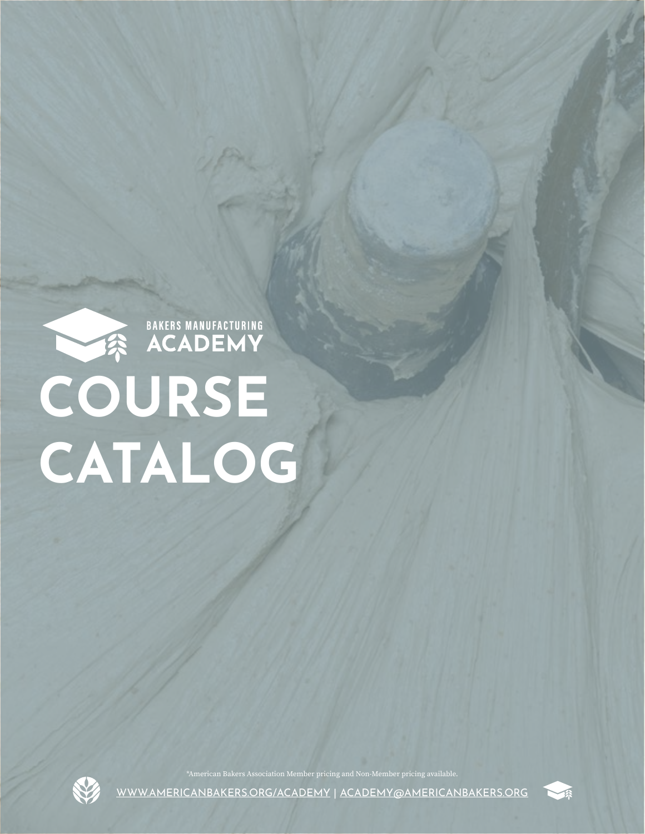



\*American Bakers Association Member pricing and Non-Member pricing available.

[WWW.AMERICANBAKERS.ORG/ACADEMY](https://americanbakers.org/professional-development/academy?utm_source=bma&utm_medium=course_catalog&utm_campaign=marketing&utm_term=spring_2022) | [ACADEMY@AMERICANBAKERS.ORG](mailto:ACADEMY%40AMERICANBAKERS.ORG?subject=)

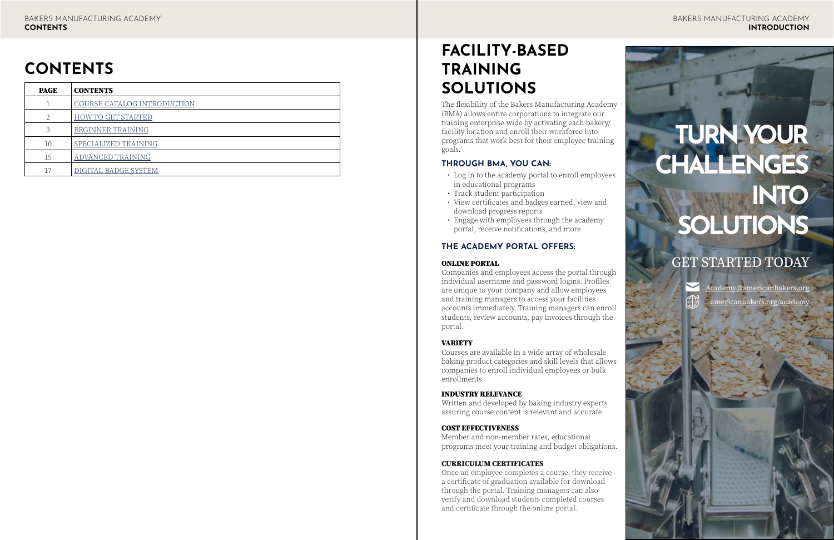### **FACILITY-BASED TRAINING SOLUTIONS**

The flexibility of the Bakers Manufacturing Academy (BMA) allows entire corporations to integrate our training enterprise-wide by activating each bakery/ facility location and enroll their workforce into programs that work best for their employee training goals.

### **THROUGH BMA, YOU CAN:**

- Log in to the academy portal to enroll employees in educational programs
- Track student participation
- View certificates and badges earned, view and download progress reports
- Engage with employees through the academy portal, receive notifications, and more

### **THE ACADEMY PORTAL OFFERS:**

#### ONLINE PORTAL

Companies and employees access the portal through individual username and password logins. Profiles are unique to your company and allow employees and training managers to access your facilities accounts immediately. Training managers can enroll students, review accounts, pay invoices through the portal.

### VARIETY

Courses are available in a wide array of wholesale baking product categories and skill levels that allows companies to enroll individual employees or bulk enrollments.

### INDUSTRY RELEVANCE

Written and developed by baking industry experts assuring course content is relevant and accurate.

### COST EFFECTIVENESS

Member and non-member rates, educational programs meet your training and budget obligations.

#### CURRICULUM CERTIFICATES

Once an employee completes a course, they receive a certificate of graduation available for download through the portal. Training managers can also verify and download students completed courses and certificate through the online portal.

## **TURN YOUR CHALLENGES INTO SOLUTIONS**

### GET STARTED TODAY



[Academy@americanbakers.org](mailto:Academy%40americanbakers.org%20?subject=) [americanbakers.org/academy](https://americanbakers.org/professional-development/academy?utm_source=bma&utm_medium=course_catalog&utm_campaign=marketing&utm_term=spring_2022)

### **CONTENTS**

| <b>PAGE</b> | <b>CONTENTS</b>             |
|-------------|-----------------------------|
|             | COURSE CATALOG INTRODUCTION |
| C.          | <b>HOW TO GET STARTED</b>   |
| 3           | <b>BEGINNER TRAINING</b>    |
| 10          | SPECIALIZED TRAINING        |
| 15          | ADVANCED TRAINING           |
|             | DIGITAL BADGE SYSTEM        |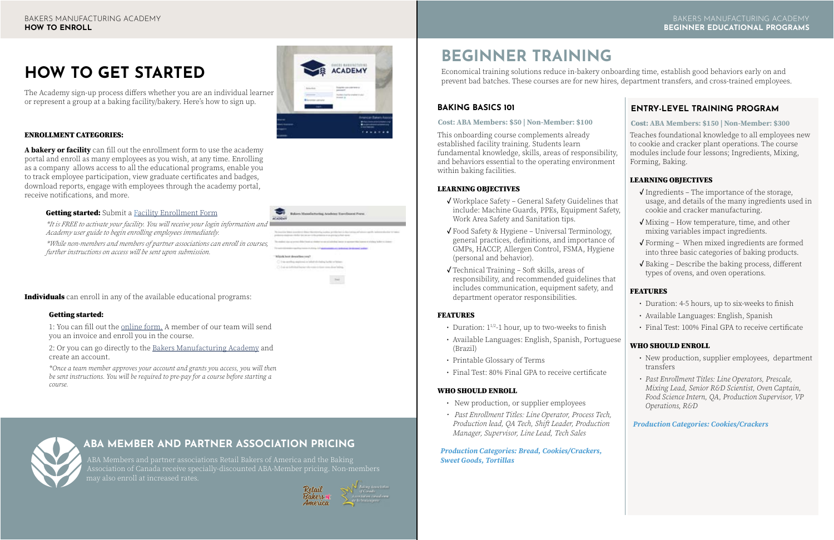### ENROLLMENT CATEGORIES:

**A bakery or facility** can fill out the enrollment form to use the academy portal and enroll as many employees as you wish, at any time. Enrolling as a company allows access to all the educational programs, enable you to track employee participation, view graduate certificates and badges, download reports, engage with employees through the academy portal, receive notifications, and more.

### **Getting started:** Submit a **[Facility Enrollment Form](https://americanbakers.org/academy/bakers-manufacturing-academy-enrollment-information?utm_source=bma&utm_medium=course_catalog&utm_campaign=marketing&utm_term=spring_2022)**

*\*It is FREE to activate your facility. You will receive your login information and Academy user guide to begin enrolling employees immediately.*

*\*While non-members and members of partner associations can enroll in courses, further instructions on access will be sent upon submission.*

**Individuals** can enroll in any of the available educational programs:

### **BEGINNER TRAINING**

Economical training solutions reduce in-bakery onboarding time, establish good behaviors early on and prevent bad batches. These courses are for new hires, department transfers, and cross-trained employees.

- Duration:  $1^{1/2}$ -1 hour, up to two-weeks to finish
- Available Languages: English, Spanish, Portuguese (Brazil)
- Printable Glossary of Terms
- Final Test: 80% Final GPA to receive certificate

### **[BAKING BASICS 101](https://americanbakers.org/professional-development/academy/baking-basics?utm_source=bma&utm_medium=course_catalog&utm_campaign=marketing&utm_term=spring_2022)**

This onboarding course complements already established facility training. Students learn fundamental knowledge, skills, areas of responsibility, and behaviors essential to the operating environment within baking facilities.

### LEARNING OBJECTIVES

- **✓** Workplace Safety General Safety Guidelines that include: Machine Guards, PPEs, Equipment Safety, Work Area Safety and Sanitation tips.
- **✓** Food Safety & Hygiene Universal Terminology, general practices, definitions, and importance of GMPs, HACCP, Allergen Control, FSMA, Hygiene (personal and behavior).
- **✓** Technical Training Soft skills, areas of responsibility, and recommended guidelines that includes communication, equipment safety, and department operator responsibilities.

### FEATURES

### WHO SHOULD ENROLL

- New production, or supplier employees
- *• Past Enrollment Titles: Line Operator, Process Tech, Production lead, QA Tech, Shift Leader, Production Manager, Supervisor, Line Lead, Tech Sales*

### *Production Categories: Bread, Cookies/Crackers, Sweet Goods, Tortillas*



**Bakers Manufacturing Arabian Tuesdings Form** 

 $_{\rm bol}$ 

**Michel Mark development** 

1 I say worth as maximum on talkelt all challed builder or

### <span id="page-2-0"></span>**HOW TO GET STARTED**

The Academy sign-up process differs whether you are an individual learner or represent a group at a baking facility/bakery. Here's how to sign up.

### **ABA MEMBER AND PARTNER ASSOCIATION PRICING**

ABA Members and partner associations Retail Bakers of America and the Baking Association of Canada receive specially-discounted ABA-Member pricing. Non-members



### Getting started:

1: You can fill out the [online form.](https://americanbakers.org/academy/bakers-manufacturing-academy-enrollment-information?utm_source=bma&utm_medium=course_catalog&utm_campaign=marketing&utm_term=spring_2022) A member of our team will send you an invoice and enroll you in the course.

2: Or you can go directly to the [Bakers Manufacturing Academy](https://aba.ourclassroom.net/login/index.php?utm_source=bma&utm_medium=course_catalog&utm_campaign=marketing&utm_term=spring_2022) and create an account.

*\*Once a team member approves your account and grants you access, you will then be sent instructions. You will be required to pre-pay for a course before starting a course.*



### **Cost: ABA Members: \$50 | Non-Member: \$100**

### **[ENTRY-LEVEL TRAINING PROGRAM](https://americanbakers.org/professional-development/academy/cookie-and-cracker-entry-level-training?utm_source=bma&utm_medium=course_catalog&utm_campaign=marketing&utm_term=spring_2022)**

Teaches foundational knowledge to all employees new to cookie and cracker plant operations. The course modules include four lessons; Ingredients, Mixing, Forming, Baking.

### LEARNING OBJECTIVES

- **✓** Ingredients The importance of the storage, usage, and details of the many ingredients used in cookie and cracker manufacturing.
- **✓** Mixing How temperature, time, and other mixing variables impact ingredients.
- **✓** Forming When mixed ingredients are formed into three basic categories of baking products.
- **✓** Baking Describe the baking process, different types of ovens, and oven operations.

### FEATURES

- Duration: 4-5 hours, up to six-weeks to finish
- Available Languages: English, Spanish
- Final Test: 100% Final GPA to receive certificate

### WHO SHOULD ENROLL

- New production, supplier employees, department transfers
- *• Past Enrollment Titles: Line Operators, Prescale, Mixing Lead, Senior R&D Scientist, Oven Captain, Food Science Intern, QA, Production Supervisor, VP Operations, R&D*

*Production Categories: Cookies/Crackers*

### Cost: **ABA Members: \$150 | Non-Member: \$300**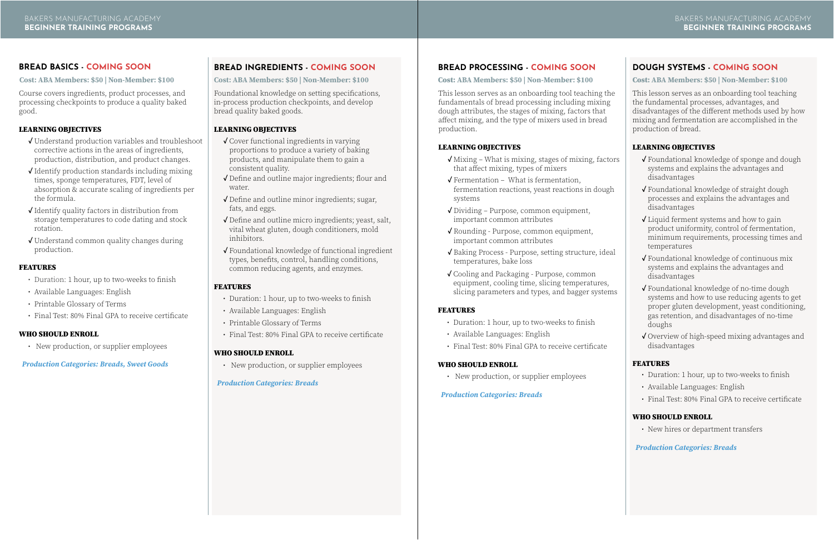### **[BREAD BASICS - COMING SOON](https://americanbakers.org/professional-development/academy/beginner-training?utm_source=bma&utm_medium=course_catalog&utm_campaign=marketing&utm_term=spring_2022)**

Course covers ingredients, product processes, and processing checkpoints to produce a quality baked good.

### LEARNING OBJECTIVES

- **✓** Understand production variables and troubleshoot corrective actions in the areas of ingredients, production, distribution, and product changes.
- **✓** Identify production standards including mixing times, sponge temperatures, FDT, level of absorption & accurate scaling of ingredients per the formula.
- **✓** Identify quality factors in distribution from storage temperatures to code dating and stock rotation.
- **✓** Understand common quality changes during production.

### FEATURES

- Duration: 1 hour, up to two-weeks to finish
- Available Languages: English
- Printable Glossary of Terms
- Final Test: 80% Final GPA to receive certificate

### WHO SHOULD ENROLL

• New production, or supplier employees

### *Production Categories: Breads, Sweet Goods*

**Cost: ABA Members: \$50 | Non-Member: \$100**

### FEATURES

- Duration: 1 hour, up to two-weeks to finish
- Available Languages: English
- Printable Glossary of Terms
- Final Test: 80% Final GPA to receive certificate

### WHO SHOULD ENROLL

• New production, or supplier employees

- **✓** Cover functional ingredients in varying proportions to produce a variety of baking products, and manipulate them to gain a consistent quality.
- **✓** Define and outline major ingredients; flour and water.
- **✓** Define and outline minor ingredients; sugar, fats, and eggs.
- **✓** Define and outline micro ingredients; yeast, salt, vital wheat gluten, dough conditioners, mold inhibitors.
- **✓** Foundational knowledge of functional ingredient types, benefits, control, handling conditions, common reducing agents, and enzymes.

### *Production Categories: Breads*

### **[BREAD INGREDIENTS - COMING SOON](https://americanbakers.org/professional-development/academy/beginner-training?utm_source=bma&utm_medium=course_catalog&utm_campaign=marketing&utm_term=spring_2022)**

Foundational knowledge on setting specifications, in-process production checkpoints, and develop bread quality baked goods.

### LEARNING OBJECTIVES

**Cost: ABA Members: \$50 | Non-Member: \$100**

### **[BREAD PROCESSING - COMING SOON](https://americanbakers.org/professional-development/academy/beginner-training?utm_source=bma&utm_medium=course_catalog&utm_campaign=marketing&utm_term=spring_2022)**

Cost: **ABA Members: \$50 | Non-Member: \$100**

This lesson serves as an onboarding tool teaching the fundamentals of bread processing including mixing dough attributes, the stages of mixing, factors that affect mixing, and the type of mixers used in bread production.

### LEARNING OBJECTIVES

- **✓** Mixing What is mixing, stages of mixing, factors that affect mixing, types of mixers
- **✓** Fermentation What is fermentation, fermentation reactions, yeast reactions in dough systems
- **✓** Dividing Purpose, common equipment, important common attributes
- **✓** Rounding Purpose, common equipment, important common attributes
- **✓** Baking Process Purpose, setting structure, ideal temperatures, bake loss
- **✓** Cooling and Packaging Purpose, common equipment, cooling time, slicing temperatures, slicing parameters and types, and bagger systems

### FEATURES

- Duration: 1 hour, up to two-weeks to finish
- Available Languages: English
- Final Test: 80% Final GPA to receive certificate

### WHO SHOULD ENROLL

• New production, or supplier employees

### *Production Categories: Breads*

### **[DOUGH SYSTEMS - COMING SOON](https://americanbakers.org/professional-development/academy/beginner-training?utm_source=bma&utm_medium=course_catalog&utm_campaign=marketing&utm_term=spring_2022)**

Cost: **ABA Members: \$50 | Non-Member: \$100**

This lesson serves as an onboarding tool teaching the fundamental processes, advantages, and disadvantages of the different methods used by how mixing and fermentation are accomplished in the production of bread.

### LEARNING OBJECTIVES

- **✓** Foundational knowledge of sponge and dough systems and explains the advantages and disadvantages
- **✓** Foundational knowledge of straight dough processes and explains the advantages and disadvantages
- **✓** Liquid ferment systems and how to gain product uniformity, control of fermentation, minimum requirements, processing times and temperatures
- **✓** Foundational knowledge of continuous mix systems and explains the advantages and disadvantages
- **✓** Foundational knowledge of no-time dough systems and how to use reducing agents to get proper gluten development, yeast conditioning, gas retention, and disadvantages of no-time doughs
- **✓** Overview of high-speed mixing advantages and disadvantages

### FEATURES

- Duration: 1 hour, up to two-weeks to finish
- Available Languages: English
- Final Test: 80% Final GPA to receive certificate

### WHO SHOULD ENROLL

• New hires or department transfers

### *Production Categories: Breads*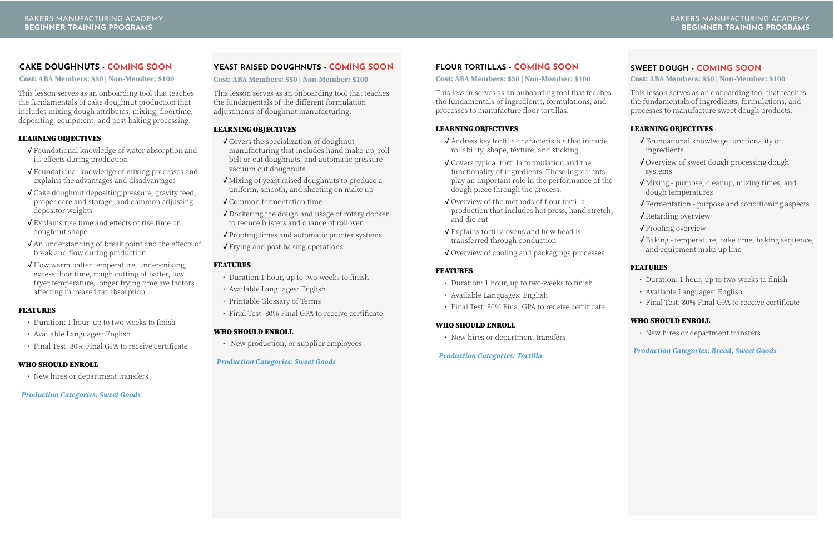### **[YEAST RAISED DOUGHNUTS - COMING SOON](https://americanbakers.org/professional-development/academy/beginner-training)**

This lesson serves as an onboarding tool that teaches the fundamentals of the different formulation adjustments of doughnut manufacturing.

### LEARNING OBJECTIVES

- **✓** Covers the specialization of doughnut manufacturing that includes hand make-up, roll belt or cut doughnuts, and automatic pressure vacuum cut doughnuts.
- **✓** Mixing of yeast raised doughnuts to produce a uniform, smooth, and sheeting on make up
- **✓** Common fermentation time
- **✓** Dockering the dough and usage of rotary docker to reduce blisters and chance of rollover
- **✓** Proofing times and automatic proofer systems
- **✓** Frying and post-baking operations

### FEATURES

- Duration:1 hour, up to two-weeks to finish
- Available Languages: English
- Printable Glossary of Terms
- Final Test: 80% Final GPA to receive certificate

### WHO SHOULD ENROLL

• New production, or supplier employees

### *Production Categories: Sweet Goods*

**Cost: ABA Members: \$50 | Non-Member: \$100**

### **[FLOUR TORTILLAS - COMING SOON](https://americanbakers.org/professional-development/academy/beginner-training?utm_source=bma&utm_medium=course_catalog&utm_campaign=marketing&utm_term=spring_2022)**

### FEATURES

- Duration: 1 hour, up to two-weeks to finish
- Available Languages: English
- Final Test: 80% Final GPA to receive certificate

### WHO SHOULD ENROLL

• New hires or department transfers

### *Production Categories: Tortilla*

- **✓** Address key tortilla characteristics that include rollability, shape, texture, and sticking
- **✓** Covers typical tortilla formulation and the functionality of ingredients. These ingredients play an important role in the performance of the dough piece through the process.
- **✓** Overview of the methods of flour tortilla production that includes hot press, hand stretch, and die cut
- **✓** Explains tortilla ovens and how head is transferred through conduction
- **✓** Overview of cooling and packagings processes

Cost: **ABA Members: \$50 | Non-Member: \$100**

This lesson serves as an onboarding tool that teaches the fundamentals of ingredients, formulations, and processes to manufacture flour tortillas.

### LEARNING OBJECTIVES

### **[SWEET DOUGH - COMING SOON](https://americanbakers.org/professional-development/academy/beginner-training?utm_source=bma&utm_medium=course_catalog&utm_campaign=marketing&utm_term=spring_2022)**

### Cost: **ABA Members: \$50 | Non-Member: \$100**

This lesson serves as an onboarding tool that teaches the fundamentals of ingredients, formulations, and processes to manufacture sweet dough products.

### LEARNING OBJECTIVES

- **✓** Foundational knowledge functionality of ingredients
- **✓** Overview of sweet dough processing dough systems
- **✓** Mixing purpose, cleanup, mixing times, and dough temperatures
- **✓** Fermentation purpose and conditioning aspects
- **✓** Retarding overview
- **✓** Proofing overview
- **✓** Baking temperature, bake time, baking sequence, and equipment make up line

### FEATURES

- Duration: 1 hour, up to two-weeks to finish
- Available Languages: English
- Final Test: 80% Final GPA to receive certificate

### WHO SHOULD ENROLL

• New hires or department transfers

*Production Categories: Bread, Sweet Goods*

### **[CAKE DOUGHNUTS - COMING SOON](https://americanbakers.org/professional-development/academy/beginner-training?utm_source=bma&utm_medium=course_catalog&utm_campaign=marketing&utm_term=spring_2022)**

Cost: **ABA Members: \$50 | Non-Member: \$100**

This lesson serves as an onboarding tool that teaches the fundamentals of cake doughnut production that includes mixing dough attributes, mixing, floortime, depositing, equipment, and post-baking processing.

### LEARNING OBJECTIVES

- **✓** Foundational knowledge of water absorption and its effects during production
- **✓** Foundational knowledge of mixing processes and explains the advantages and disadvantages
- **✓** Cake doughnut depositing pressure, gravity feed, proper care and storage, and common adjusting depositor weights
- **✓** Explains rise time and effects of rise time on doughnut shape
- **✓** An understanding of break point and the effects of break and flow during production
- **✓** How warm batter temperature, under-mixing, excess floor time, rough cutting of batter, low fryer temperature, longer frying time are factors affecting increased fat absorption

### FEATURES

- Duration: 1 hour, up to two-weeks to finish
- Available Languages: English
- Final Test: 80% Final GPA to receive certificate

### WHO SHOULD ENROLL

• New hires or department transfers

### *Production Categories: Sweet Goods*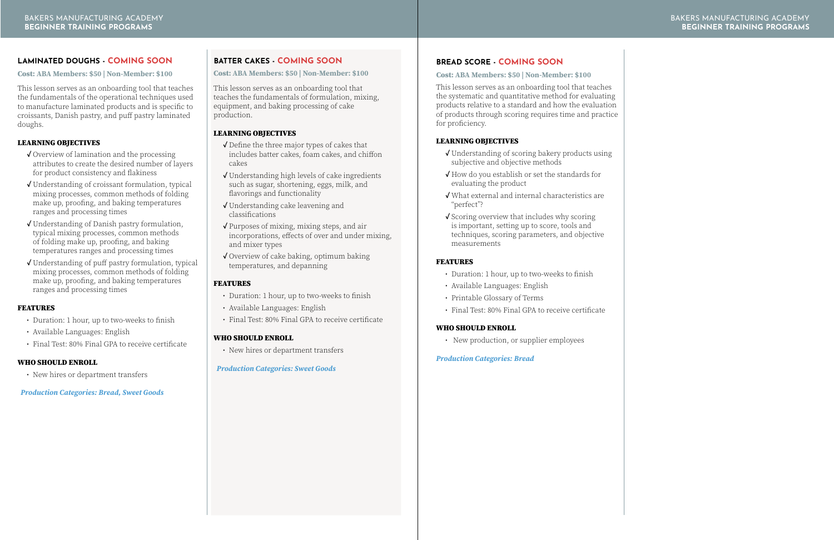### **[BREAD SCORE - COMING SOON](https://americanbakers.org/professional-development/academy/beginner-training?utm_source=bma&utm_medium=course_catalog&utm_campaign=marketing&utm_term=spring_2022)**

### Cost: **ABA Members: \$50 | Non-Member: \$100**

This lesson serves as an onboarding tool that teaches the systematic and quantitative method for evaluating products relative to a standard and how the evaluation of products through scoring requires time and practice for proficiency.

### LEARNING OBJECTIVES

- **✓** Understanding of scoring bakery products using subjective and objective methods
- **✓** How do you establish or set the standards for evaluating the product
- **✓** What external and internal characteristics are "perfect"?
- **✓** Scoring overview that includes why scoring is important, setting up to score, tools and techniques, scoring parameters, and objective measurements

### FEATURES

- Duration: 1 hour, up to two-weeks to finish
- Available Languages: English
- Printable Glossary of Terms
- Final Test: 80% Final GPA to receive certificate

### WHO SHOULD ENROLL

• New production, or supplier employees

### *Production Categories: Bread*

### **[BATTER CAKES - COMING SOON](https://americanbakers.org/professional-development/academy/beginner-training?utm_source=bma&utm_medium=course_catalog&utm_campaign=marketing&utm_term=spring_2022)**

### Cost: **ABA Members: \$50 | Non-Member: \$100**

This lesson serves as an onboarding tool that teaches the fundamentals of formulation, mixing, equipment, and baking processing of cake production.

### LEARNING OBJECTIVES

- **✓** Define the three major types of cakes that includes batter cakes, foam cakes, and chiffon cakes
- **✓** Understanding high levels of cake ingredients such as sugar, shortening, eggs, milk, and flavorings and functionality
- **✓** Understanding cake leavening and classifications
- **✓** Purposes of mixing, mixing steps, and air incorporations, effects of over and under mixing, and mixer types
- **✓** Overview of cake baking, optimum baking temperatures, and depanning

### FEATURES

- Duration: 1 hour, up to two-weeks to finish
- Available Languages: English
- Final Test: 80% Final GPA to receive certificate

### WHO SHOULD ENROLL

• New hires or department transfers

*Production Categories: Sweet Goods*

### **[LAMINATED DOUGHS - COMING SOON](https://americanbakers.org/professional-development/academy/beginner-training?utm_source=bma&utm_medium=course_catalog&utm_campaign=marketing&utm_term=spring_2022)**

Cost: **ABA Members: \$50 | Non-Member: \$100**

This lesson serves as an onboarding tool that teaches the fundamentals of the operational techniques used to manufacture laminated products and is specific to croissants, Danish pastry, and puff pastry laminated doughs.

### LEARNING OBJECTIVES

- **✓** Overview of lamination and the processing attributes to create the desired number of layers for product consistency and flakiness
- **✓** Understanding of croissant formulation, typical mixing processes, common methods of folding make up, proofing, and baking temperatures ranges and processing times
- **✓** Understanding of Danish pastry formulation, typical mixing processes, common methods of folding make up, proofing, and baking temperatures ranges and processing times
- **✓** Understanding of puff pastry formulation, typical mixing processes, common methods of folding make up, proofing, and baking temperatures ranges and processing times

### FEATURES

- Duration: 1 hour, up to two-weeks to finish
- Available Languages: English
- Final Test: 80% Final GPA to receive certificate

### WHO SHOULD ENROLL

• New hires or department transfers

### *Production Categories: Bread, Sweet Goods*

### [BAKERS MANUFACTURING ACADEMY](https://americanbakers.org/professional-development/academy/beginner-training?utm_source=bma&utm_medium=course_catalog&utm_campaign=marketing&utm_term=spring_2022) **BEGINNER TRAINING PROGRAMS**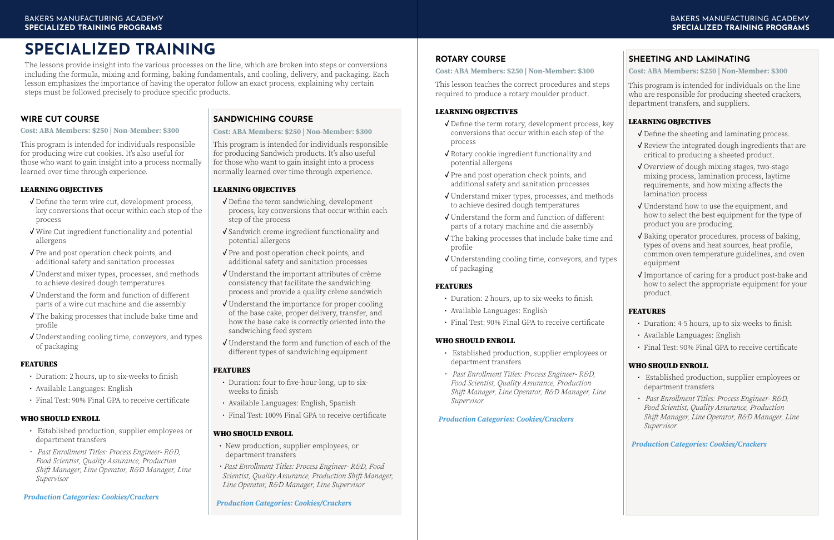### **[ROTARY COURSE](https://americanbakers.org/professional-development/academy/specialized-training?utm_source=bma&utm_medium=course_catalog&utm_campaign=marketing&utm_term=spring_2022)**

This lesson teaches the correct procedures and steps required to produce a rotary moulder product.

### LEARNING OBJECTIVES

- **✓** Define the term rotary, development process, key conversions that occur within each step of the process
- **✓** Rotary cookie ingredient functionality and potential allergens
- **✓** Pre and post operation check points, and additional safety and sanitation processes
- **✓** Understand mixer types, processes, and methods to achieve desired dough temperatures
- **✓** Understand the form and function of different parts of a rotary machine and die assembly
- **✓** The baking processes that include bake time and profile
- **✓** Understanding cooling time, conveyors, and types of packaging

### FEATURES

- Duration: 2 hours, up to six-weeks to finish
- Available Languages: English
- Final Test: 90% Final GPA to receive certificate

### WHO SHOULD ENROLL

- Established production, supplier employees or department transfers
- *• Past Enrollment Titles: Process Engineer- R&D, Food Scientist, Quality Assurance, Production Shift Manager, Line Operator, R&D Manager, Line Supervisor*

### *Production Categories: Cookies/Crackers*

### **Cost: ABA Members: \$250 | Non-Member: \$300**

### **[SHEETING AND LAMINATING](https://americanbakers.org/professional-development/academy/specialized-training?utm_source=bma&utm_medium=course_catalog&utm_campaign=marketing&utm_term=spring_2022)**

This program is intended for individuals on the line who are responsible for producing sheeted crackers, department transfers, and suppliers.

### LEARNING OBJECTIVES

- **✓** Define the sheeting and laminating process.
- **✓** Review the integrated dough ingredients that are critical to producing a sheeted product.
- **✓** Overview of dough mixing stages, two-stage mixing process, lamination process, laytime requirements, and how mixing affects the lamination process
- **✓** Understand how to use the equipment, and how to select the best equipment for the type of product you are producing.
- **✓** Baking operator procedures, process of baking, types of ovens and heat sources, heat profile, common oven temperature guidelines, and oven equipment
- **✓** Importance of caring for a product post-bake and how to select the appropriate equipment for your product.

### FEATURES

- Duration: 4-5 hours, up to six-weeks to finish
- Available Languages: English
- Final Test: 90% Final GPA to receive certificate

### WHO SHOULD ENROLL

- Established production, supplier employees or department transfers
- *• Past Enrollment Titles: Process Engineer- R&D, Food Scientist, Quality Assurance, Production Shift Manager, Line Operator, R&D Manager, Line Supervisor*

*Production Categories: Cookies/Crackers*

### **Cost: ABA Members: \$250 | Non-Member: \$300**

### <span id="page-6-0"></span>**SPECIALIZED TRAINING**

The lessons provide insight into the various processes on the line, which are broken into steps or conversions including the formula, mixing and forming, baking fundamentals, and cooling, delivery, and packaging. Each lesson emphasizes the importance of having the operator follow an exact process, explaining why certain steps must be followed precisely to produce specific products.

### **[WIRE CUT COURSE](https://americanbakers.org/professional-development/academy/specialized-training?utm_source=bma&utm_medium=course_catalog&utm_campaign=marketing&utm_term=spring_2022)**

This program is intended for individuals responsible for producing wire cut cookies. It's also useful for those who want to gain insight into a process normally learned over time through experience.

### LEARNING OBJECTIVES

- **✓** Define the term wire cut, development process, key conversions that occur within each step of the process
- **✓** Wire Cut ingredient functionality and potential allergens
- **✓** Pre and post operation check points, and additional safety and sanitation processes
- **✓** Understand mixer types, processes, and methods to achieve desired dough temperatures
- **✓** Understand the form and function of different parts of a wire cut machine and die assembly
- **✓** The baking processes that include bake time and profile
- **✓** Understanding cooling time, conveyors, and types of packaging

### FEATURES

- Duration: 2 hours, up to six-weeks to finish
- Available Languages: English
- Final Test: 90% Final GPA to receive certificate

### WHO SHOULD ENROLL

- Established production, supplier employees or department transfers
- *• Past Enrollment Titles: Process Engineer- R&D, Food Scientist, Quality Assurance, Production Shift Manager, Line Operator, R&D Manager, Line Supervisor*

### *Production Categories: Cookies/Crackers*

**Cost: ABA Members: \$250 | Non-Member: \$300**

### **[SANDWICHING COURSE](https://americanbakers.org/professional-development/academy/specialized-training?utm_source=bma&utm_medium=course_catalog&utm_campaign=marketing&utm_term=spring_2022)**

This program is intended for individuals responsible for producing Sandwich products. It's also useful for those who want to gain insight into a process normally learned over time through experience.

### LEARNING OBJECTIVES

- **✓** Define the term sandwiching, development process, key conversions that occur within each step of the process
- **✓** Sandwich creme ingredient functionality and potential allergens
- **✓** Pre and post operation check points, and additional safety and sanitation processes
- **✓** Understand the important attributes of crème consistency that facilitate the sandwiching process and provide a quality crème sandwich
- **✓** Understand the importance for proper cooling of the base cake, proper delivery, transfer, and how the base cake is correctly oriented into the sandwiching feed system
- **✓** Understand the form and function of each of the different types of sandwiching equipment

### FEATURES

- Duration: four to five-hour-long, up to sixweeks to finish
- Available Languages: English, Spanish
- Final Test: 100% Final GPA to receive certificate

### WHO SHOULD ENROLL

- New production, supplier employees, or department transfers
- *• Past Enrollment Titles: Process Engineer- R&D, Food Scientist, Quality Assurance, Production Shift Manager, Line Operator, R&D Manager, Line Supervisor*

*Production Categories: Cookies/Crackers*

**Cost: ABA Members: \$250 | Non-Member: \$300**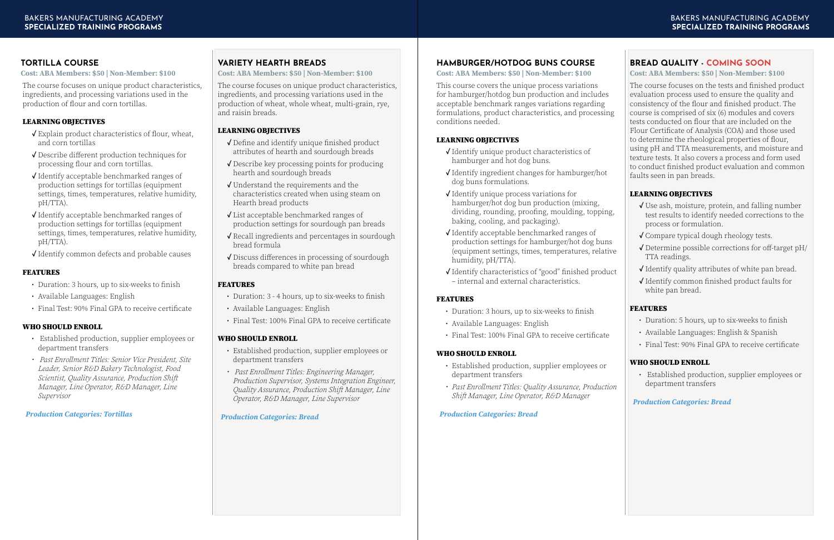The course focuses on the tests and finished product evaluation process used to ensure the quality and consistency of the flour and finished product. The course is comprised of six (6) modules and covers tests conducted on flour that are included on the Flour Certificate of Analysis (COA) and those used to determine the rheological properties of flour, using pH and TTA measurements, and moisture and texture tests. It also covers a process and form used to conduct finished product evaluation and common faults seen in pan breads.

### LEARNING OBJECTIVES

### **[BREAD QUALITY - COMING SOON](https://americanbakers.org/professional-development/academy/specialized-training?utm_source=bma&utm_medium=course_catalog&utm_campaign=marketing&utm_term=spring_2022) Cost: ABA Members: \$50 | Non-Member: \$100**

- **✓** Use ash, moisture, protein, and falling number test results to identify needed corrections to the process or formulation.
- **✓** Compare typical dough rheology tests.
- **✓** Determine possible corrections for off-target pH/ TTA readings.
- **✓** Identify quality attributes of white pan bread.
- **✓** Identify common finished product faults for white pan bread.

### FEATURES

- Duration: 5 hours, up to six-weeks to finish
- Available Languages: English & Spanish
- Final Test: 90% Final GPA to receive certificate

### WHO SHOULD ENROLL

• Established production, supplier employees or department transfers

### *Production Categories: Bread*

### **[HAMBURGER/HOTDOG BUNS COURSE](https://americanbakers.org/professional-development/academy/specialized-training?utm_source=bma&utm_medium=course_catalog&utm_campaign=marketing&utm_term=spring_2022)**

This course covers the unique process variations for hamburger/hotdog bun production and includes acceptable benchmark ranges variations regarding formulations, product characteristics, and processing conditions needed.

### LEARNING OBJECTIVES

- **✓** Identify unique product characteristics of hamburger and hot dog buns.
- **✓** Identify ingredient changes for hamburger/hot dog buns formulations.
- **✓** Identify unique process variations for hamburger/hot dog bun production (mixing, dividing, rounding, proofing, moulding, topping, baking, cooling, and packaging).
- **✓** Identify acceptable benchmarked ranges of production settings for hamburger/hot dog buns (equipment settings, times, temperatures, relative humidity, pH/TTA).
- **✓** Identify characteristics of "good" finished product – internal and external characteristics.

### FEATURES

- Duration: 3 hours, up to six-weeks to finish
- Available Languages: English
- Final Test: 100% Final GPA to receive certificate

### WHO SHOULD ENROLL

- Established production, supplier employees or department transfers
- *• Past Enrollment Titles: Quality Assurance, Production Shift Manager, Line Operator, R&D Manager*

### *Production Categories: Bread*

**Cost: ABA Members: \$50 | Non-Member: \$100**

### **[TORTILLA COURSE](https://americanbakers.org/professional-development/academy/specialized-training?utm_source=bma&utm_medium=course_catalog&utm_campaign=marketing&utm_term=spring_2022)**

The course focuses on unique product characteristics, ingredients, and processing variations used in the production of flour and corn tortillas.

### LEARNING OBJECTIVES

- **✓** Explain product characteristics of flour, wheat, and corn tortillas
- **✓** Describe different production techniques for processing flour and corn tortillas.
- **✓** Identify acceptable benchmarked ranges of production settings for tortillas (equipment settings, times, temperatures, relative humidity, pH/TTA).
- **✓** Identify acceptable benchmarked ranges of production settings for tortillas (equipment settings, times, temperatures, relative humidity, pH/TTA).
- **✓** Identify common defects and probable causes

### FEATURES

- Duration: 3 hours, up to six-weeks to finish
- Available Languages: English
- Final Test: 90% Final GPA to receive certificate

### WHO SHOULD ENROLL

- Established production, supplier employees or department transfers
- *• Past Enrollment Titles: Senior Vice President, Site Leader, Senior R&D Bakery Technologist, Food Scientist, Quality Assurance, Production Shift Manager, Line Operator, R&D Manager, Line Supervisor*

### *Production Categories: Tortillas*

**Cost: ABA Members: \$50 | Non-Member: \$100**

### **[VARIETY HEARTH BREADS](https://americanbakers.org/professional-development/academy/specialized-training?utm_source=bma&utm_medium=course_catalog&utm_campaign=marketing&utm_term=spring_2022)**

The course focuses on unique product characteristics, ingredients, and processing variations used in the production of wheat, whole wheat, multi-grain, rye, and raisin breads.

### LEARNING OBJECTIVES

- **✓** Define and identify unique finished product attributes of hearth and sourdough breads
- **✓** Describe key processing points for producing hearth and sourdough breads
- **✓** Understand the requirements and the characteristics created when using steam on Hearth bread products
- **✓** List acceptable benchmarked ranges of production settings for sourdough pan breads
- **✓** Recall ingredients and percentages in sourdough bread formula
- **✓** Discuss differences in processing of sourdough breads compared to white pan bread

### FEATURES

- Duration: 3 4 hours, up to six-weeks to finish
- Available Languages: English
- Final Test: 100% Final GPA to receive certificate

### WHO SHOULD ENROLL

- Established production, supplier employees or department transfers
- *• Past Enrollment Titles: Engineering Manager, Production Supervisor, Systems Integration Engineer, Quality Assurance, Production Shift Manager, Line Operator, R&D Manager, Line Supervisor*

### *Production Categories: Bread*

**Cost: ABA Members: \$50 | Non-Member: \$100**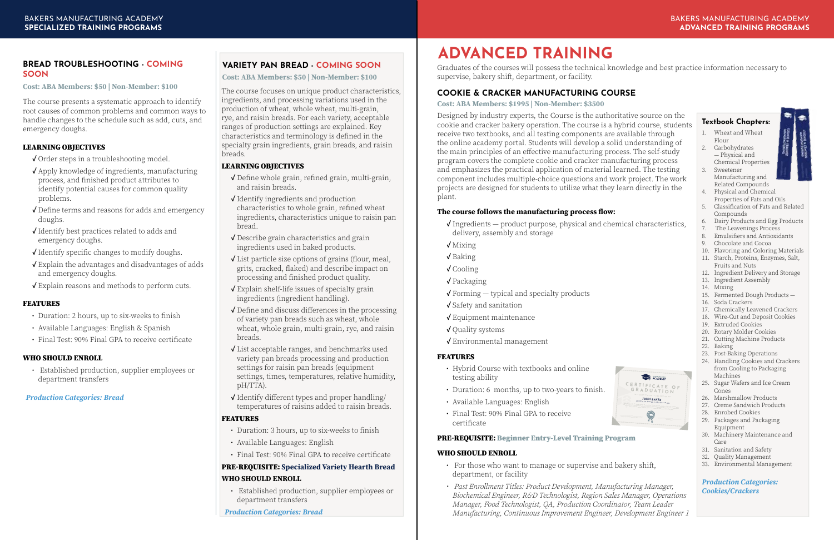### **ADVANCED TRAINING**

Graduates of the courses will possess the technical knowledge and best practice information necessary to supervise, bakery shift, department, or facility.

### **[COOKIE & CRACKER MANUFACTURING COURSE](https://americanbakers.org/professional-development/academy/advanced-training?utm_source=bma&utm_medium=course_catalog&utm_campaign=marketing&utm_term=spring_2022)**

Designed by industry experts, the Course is the authoritative source on the cookie and cracker bakery operation. The course is a hybrid course, students receive two textbooks, and all testing components are available through the online academy portal. Students will develop a solid understanding of the main principles of an effective manufacturing process. The self-study program covers the complete cookie and cracker manufacturing process and emphasizes the practical application of material learned. The testing component includes multiple-choice questions and work project. The work projects are designed for students to utilize what they learn directly in the plant.

### **The course follows the manufacturing process flow:**

- **✓** Ingredients product purpose, physical and chemical characteristics, delivery, assembly and storage
- **✓** Mixing
- **✓** Baking
- **✓** Cooling
- **✓** Packaging
- **✓** Forming typical and specialty products
- **✓** Safety and sanitation
- **✓** Equipment maintenance
- **✓** Quality systems
- **✓** Environmental management

### FEATURES

- Hybrid Course with textbooks and online testing ability
- Duration: 6 months, up to two-years to finish.
- Available Languages: English
- Final Test: 90% Final GPA to receive certificate

### PRE-REQUISITE: Beginner Entry-Level Training Program

### WHO SHOULD ENROLL

- For those who want to manage or supervise and bakery shift, department, or facility
- *• Past Enrollment Titles: Product Development, Manufacturing Manager, Biochemical Engineer, R&D Technologist, Region Sales Manager, Operations Manager, Food Technologist, QA, Production Coordinator, Team Leader Manufacturing, Continuous Improvement Engineer, Development Engineer 1*

**Cost: ABA Members: \$1995 | Non-Member: \$3500**

### **Textbook Chapters:**

- 1. Wheat and Wheat Flour
- 2. Carbohydrates — Physical and Chemical Properties 3. Sweetener
- Manufacturing and Related Compounds
- 4. Physical and Chemical Properties of Fats and Oils
- 5. Classification of Fats and Related Compounds
- 6. Dairy Products and Egg Products
- 7. The Leavenings Process
- 8. Emulsifiers and Antioxidants
- 9. Chocolate and Cocoa
- 10. Flavoring and Coloring Materials
- 11. Starch, Proteins, Enzymes, Salt, Fruits and Nuts
- 12. Ingredient Delivery and Storage
- 13. Ingredient Assembly
- 14. Mixing
- 15. Fermented Dough Products —
- 16. Soda Crackers
- 17. Chemically Leavened Crackers
- 18. Wire-Cut and Deposit Cookies
- 19. Extruded Cookies
- 20. Rotary Molder Cookies
- 21. Cutting Machine Products
- 22. Baking
- 23. Post-Baking Operations
- 24. Handling Cookies and Crackers from Cooling to Packaging Machines
- 25. Sugar Wafers and Ice Cream Cones
- 26. Marshmallow Products
- 27. Creme Sandwich Products
- 28. Enrobed Cookies
- 29. Packages and Packaging Equipment
- 30. Machinery Maintenance and Care
- 31. Sanitation and Safety
- 32. Quality Management
- 33. Environmental Management

### *Production Categories: Cookies/Crackers*





### <span id="page-8-0"></span>**[BREAD TROUBLESHOOTING - COMING](https://americanbakers.org/professional-development/academy/specialized-training?utm_source=bma&utm_medium=course_catalog&utm_campaign=marketing&utm_term=spring_2022)  SOON**

The course presents a systematic approach to identify root causes of common problems and common ways to handle changes to the schedule such as add, cuts, and emergency doughs.

### LEARNING OBJECTIVES

- **✓** Order steps in a troubleshooting model.
- **✓** Apply knowledge of ingredients, manufacturing process, and finished product attributes to identify potential causes for common quality problems.
- **✓** Define terms and reasons for adds and emergency doughs.
- **✓** Identify best practices related to adds and emergency doughs.
- **✓** Identify specific changes to modify doughs.
- **✓** Explain the advantages and disadvantages of adds and emergency doughs.
- **✓** Explain reasons and methods to perform cuts.

### **FEATURES**

- Duration: 2 hours, up to six-weeks to finish
- Available Languages: English & Spanish
- Final Test: 90% Final GPA to receive certificate

### WHO SHOULD ENROLL

• Established production, supplier employees or department transfers

*Production Categories: Bread*

**Cost: ABA Members: \$50 | Non-Member: \$100**

### **[VARIETY PAN BREAD - COMING SOON](https://americanbakers.org/professional-development/academy/specialized-training?utm_source=bma&utm_medium=course_catalog&utm_campaign=marketing&utm_term=spring_2022)**

The course focuses on unique product characteristics, ingredients, and processing variations used in the production of wheat, whole wheat, multi-grain, rye, and raisin breads. For each variety, acceptable ranges of production settings are explained. Key characteristics and terminology is defined in the specialty grain ingredients, grain breads, and raisin breads.

### LEARNING OBJECTIVES

- **✓** Define whole grain, refined grain, multi-grain, and raisin breads.
- **✓** Identify ingredients and production characteristics to whole grain, refined wheat ingredients, characteristics unique to raisin pan bread.
- **✓** Describe grain characteristics and grain ingredients used in baked products.
- **✓** List particle size options of grains (flour, meal, grits, cracked, flaked) and describe impact on processing and finished product quality.
- **✓** Explain shelf-life issues of specialty grain ingredients (ingredient handling).
- **✓** Define and discuss differences in the processing of variety pan breads such as wheat, whole wheat, whole grain, multi-grain, rye, and raisin breads.
- **✓** List acceptable ranges, and benchmarks used variety pan breads processing and production settings for raisin pan breads (equipment settings, times, temperatures, relative humidity, pH/TTA).
- **✓** Identify different types and proper handling/ temperatures of raisins added to raisin breads.

### FEATURES

- Duration: 3 hours, up to six-weeks to finish
- Available Languages: English
- Final Test: 90% Final GPA to receive certificate

### PRE-REQUISITE: **Specialized Variety Hearth Bread**

### **WHO SHOULD ENROLL**

• Established production, supplier employees or department transfers

### *Production Categories: Bread*

**Cost: ABA Members: \$50 | Non-Member: \$100**